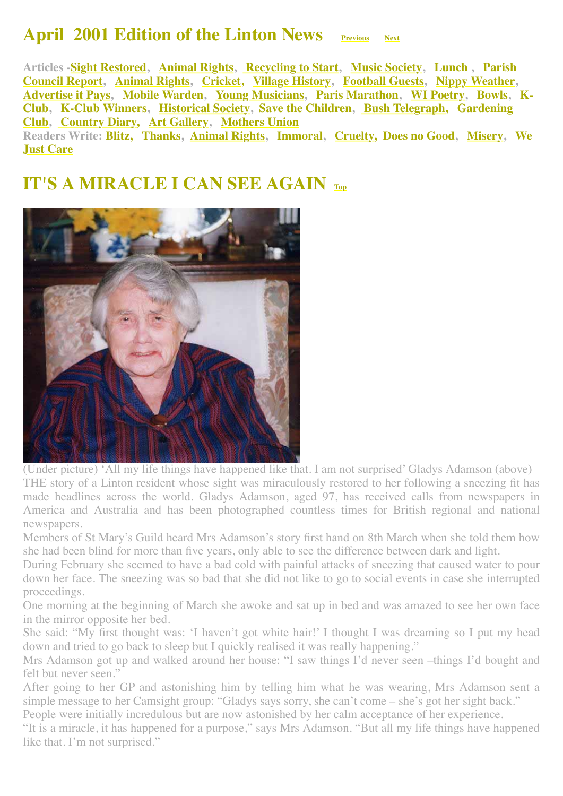#### **April 2001 Edition of the Linton News <u>[Previous](http://www.linton.info/lintonnews/0103.html) [Next](http://www.linton.info/lintonnews/0105.html)</u>**

<span id="page-0-1"></span>**Articles -[Sight Restored](#page-0-0), [Animal Rights](#page-1-0), [Recycling to Start](#page-1-1), [Music Society,](#page-2-0) [Lunch](#page-1-2) , Parish [Council Report, Animal Rights, Cricket, Village History, Football Guests, Nippy Weather,](#page-2-1) [Advertise it Pays](#page-7-1)[, M](#page-9-2)[obile Warde](#page-7-2)[n,](#page-9-2) [Young Musicians](#page-8-0)[,](#page-9-2) [Paris Marathon](#page-8-1)[,](#page-9-2) [WI Poetry](#page-9-0)[,](#page-9-2) [Bowl](#page-9-1)[s, K-](#page-9-2)[Club, K-Club Winners, Historical Society, Save the Children, Bush Telegraph, Gardening](#page-11-1) Club, [Country Diary,](#page-12-0) [Art Gallery,](#page-11-2) [Mothers Union](#page-12-1) [Readers Write: Blitz, Thanks, Animal Rights, Immoral, Cruelty, Does no Good, Misery, We](#page-5-3) Just Care**

#### <span id="page-0-0"></span>**IT'S A MIRACLE I CAN SEE AGAIN [Top](#page-0-1)**



(Under picture) 'All my life things have happened like that. I am not surprised' Gladys Adamson (above) THE story of a Linton resident whose sight was miraculously restored to her following a sneezing fit has made headlines across the world. Gladys Adamson, aged 97, has received calls from newspapers in America and Australia and has been photographed countless times for British regional and national newspapers.

Members of St Mary's Guild heard Mrs Adamson's story first hand on 8th March when she told them how she had been blind for more than five years, only able to see the difference between dark and light.

During February she seemed to have a bad cold with painful attacks of sneezing that caused water to pour down her face. The sneezing was so bad that she did not like to go to social events in case she interrupted proceedings.

One morning at the beginning of March she awoke and sat up in bed and was amazed to see her own face in the mirror opposite her bed.

She said: "My first thought was: 'I haven't got white hair!' I thought I was dreaming so I put my head down and tried to go back to sleep but I quickly realised it was really happening."

Mrs Adamson got up and walked around her house: "I saw things I'd never seen –things I'd bought and felt but never seen."

After going to her GP and astonishing him by telling him what he was wearing, Mrs Adamson sent a simple message to her Camsight group: "Gladys says sorry, she can't come – she's got her sight back."

People were initially incredulous but are now astonished by her calm acceptance of her experience.

"It is a miracle, it has happened for a purpose," says Mrs Adamson. "But all my life things have happened like that. I'm not surprised."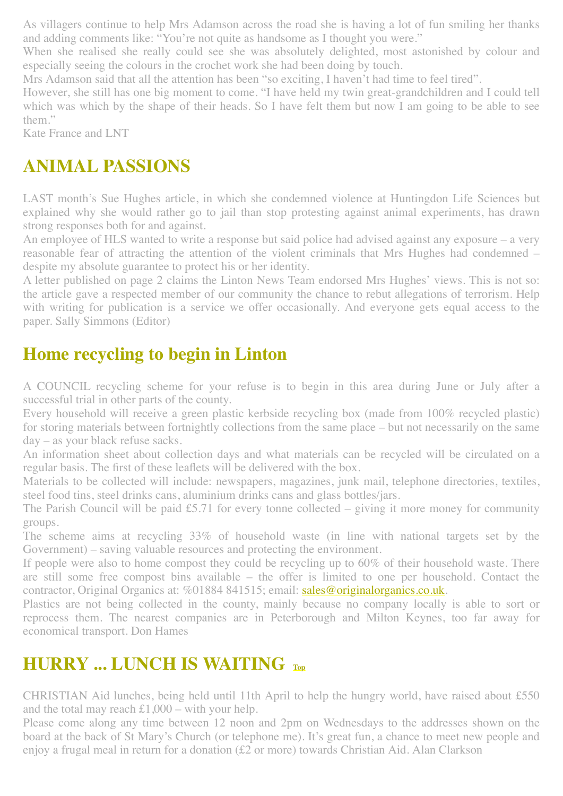As villagers continue to help Mrs Adamson across the road she is having a lot of fun smiling her thanks and adding comments like: "You're not quite as handsome as I thought you were."

When she realised she really could see she was absolutely delighted, most astonished by colour and especially seeing the colours in the crochet work she had been doing by touch.

Mrs Adamson said that all the attention has been "so exciting, I haven't had time to feel tired".

However, she still has one big moment to come. "I have held my twin great-grandchildren and I could tell which was which by the shape of their heads. So I have felt them but now I am going to be able to see them."

Kate France and LNT

## <span id="page-1-0"></span>**ANIMAL PASSIONS**

LAST month's Sue Hughes article, in which she condemned violence at Huntingdon Life Sciences but explained why she would rather go to jail than stop protesting against animal experiments, has drawn strong responses both for and against.

An employee of HLS wanted to write a response but said police had advised against any exposure – a very reasonable fear of attracting the attention of the violent criminals that Mrs Hughes had condemned – despite my absolute guarantee to protect his or her identity.

A letter published on page 2 claims the Linton News Team endorsed Mrs Hughes' views. This is not so: the article gave a respected member of our community the chance to rebut allegations of terrorism. Help with writing for publication is a service we offer occasionally. And everyone gets equal access to the paper. Sally Simmons (Editor)

### <span id="page-1-1"></span>**Home recycling to begin in Linton**

A COUNCIL recycling scheme for your refuse is to begin in this area during June or July after a successful trial in other parts of the county.

Every household will receive a green plastic kerbside recycling box (made from 100% recycled plastic) for storing materials between fortnightly collections from the same place – but not necessarily on the same day – as your black refuse sacks.

An information sheet about collection days and what materials can be recycled will be circulated on a regular basis. The first of these leaflets will be delivered with the box.

Materials to be collected will include: newspapers, magazines, junk mail, telephone directories, textiles, steel food tins, steel drinks cans, aluminium drinks cans and glass bottles/jars.

The Parish Council will be paid £5.71 for every tonne collected – giving it more money for community groups.

The scheme aims at recycling 33% of household waste (in line with national targets set by the Government) – saving valuable resources and protecting the environment.

If people were also to home compost they could be recycling up to 60% of their household waste. There are still some free compost bins available – the offer is limited to one per household. Contact the contractor, Original Organics at: %01884 841515; email: [sales@originalorganics.co.uk](mailto:sales@originalorganics.co.uk).

Plastics are not being collected in the county, mainly because no company locally is able to sort or reprocess them. The nearest companies are in Peterborough and Milton Keynes, too far away for economical transport. Don Hames

## <span id="page-1-2"></span>**HURRY ... LUNCH IS WAITING**  $_{\text{Top}}$  $_{\text{Top}}$  $_{\text{Top}}$

CHRISTIAN Aid lunches, being held until 11th April to help the hungry world, have raised about £550 and the total may reach  $\pounds1,000 -$  with your help.

Please come along any time between 12 noon and 2pm on Wednesdays to the addresses shown on the board at the back of St Mary's Church (or telephone me). It's great fun, a chance to meet new people and enjoy a frugal meal in return for a donation (£2 or more) towards Christian Aid. Alan Clarkson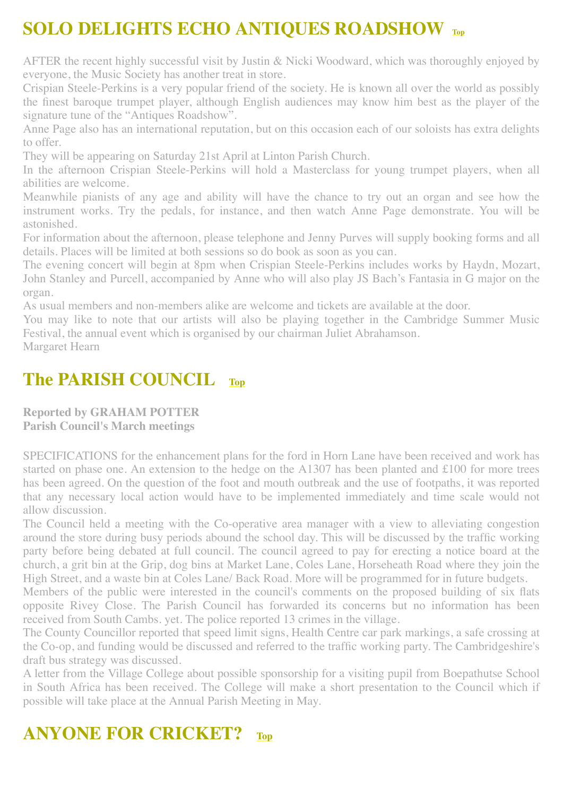## <span id="page-2-0"></span>**SOLO DELIGHTS ECHO ANTIQUES ROADSHOW [Top](#page-0-1)**

AFTER the recent highly successful visit by Justin & Nicki Woodward, which was thoroughly enjoyed by everyone, the Music Society has another treat in store.

Crispian Steele-Perkins is a very popular friend of the society. He is known all over the world as possibly the finest baroque trumpet player, although English audiences may know him best as the player of the signature tune of the "Antiques Roadshow".

Anne Page also has an international reputation, but on this occasion each of our soloists has extra delights to offer.

They will be appearing on Saturday 21st April at Linton Parish Church.

In the afternoon Crispian Steele-Perkins will hold a Masterclass for young trumpet players, when all abilities are welcome.

Meanwhile pianists of any age and ability will have the chance to try out an organ and see how the instrument works. Try the pedals, for instance, and then watch Anne Page demonstrate. You will be astonished.

For information about the afternoon, please telephone and Jenny Purves will supply booking forms and all details. Places will be limited at both sessions so do book as soon as you can.

The evening concert will begin at 8pm when Crispian Steele-Perkins includes works by Haydn, Mozart, John Stanley and Purcell, accompanied by Anne who will also play JS Bach's Fantasia in G major on the organ.

As usual members and non-members alike are welcome and tickets are available at the door.

You may like to note that our artists will also be playing together in the Cambridge Summer Music Festival, the annual event which is organised by our chairman Juliet Abrahamson.

Margaret Hearn

### <span id="page-2-1"></span>**The PARISH COUNCIL [Top](#page-0-1)**

**Reported by GRAHAM POTTER Parish Council's March meetings**

SPECIFICATIONS for the enhancement plans for the ford in Horn Lane have been received and work has started on phase one. An extension to the hedge on the A1307 has been planted and £100 for more trees has been agreed. On the question of the foot and mouth outbreak and the use of footpaths, it was reported that any necessary local action would have to be implemented immediately and time scale would not allow discussion.

The Council held a meeting with the Co-operative area manager with a view to alleviating congestion around the store during busy periods abound the school day. This will be discussed by the traffic working party before being debated at full council. The council agreed to pay for erecting a notice board at the church, a grit bin at the Grip, dog bins at Market Lane, Coles Lane, Horseheath Road where they join the High Street, and a waste bin at Coles Lane/ Back Road. More will be programmed for in future budgets.

Members of the public were interested in the council's comments on the proposed building of six flats opposite Rivey Close. The Parish Council has forwarded its concerns but no information has been received from South Cambs. yet. The police reported 13 crimes in the village.

The County Councillor reported that speed limit signs, Health Centre car park markings, a safe crossing at the Co-op, and funding would be discussed and referred to the traffic working party. The Cambridgeshire's draft bus strategy was discussed.

A letter from the Village College about possible sponsorship for a visiting pupil from Boepathutse School in South Africa has been received. The College will make a short presentation to the Council which if possible will take place at the Annual Parish Meeting in May.

### <span id="page-2-2"></span>**ANYONE FOR CRICKET? [Top](#page-0-1)**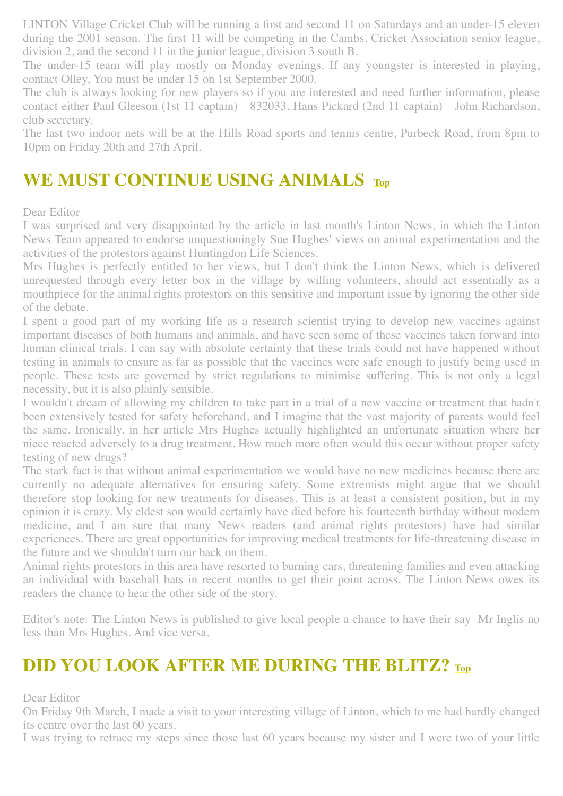LINTON Village Cricket Club will be running a first and second 11 on Saturdays and an under-15 eleven during the 2001 season. The first 11 will be competing in the Cambs. Cricket Association senior league, division 2, and the second 11 in the junior league, division 3 south B.

The under-15 team will play mostly on Monday evenings. If any youngster is interested in playing, contact Olley, You must be under 15 on 1st September 2000.

The club is always looking for new players so if you are interested and need further information, please contact either Paul Gleeson (1st 11 captain) 832033, Hans Pickard (2nd 11 captain) John Richardson, club secretary.

The last two indoor nets will be at the Hills Road sports and tennis centre, Purbeck Road, from 8pm to 10pm on Friday 20th and 27th April.

### <span id="page-3-0"></span>**WE MUST CONTINUE USING ANIMALS [Top](#page-0-1)**

#### Dear Editor

I was surprised and very disappointed by the article in last month's Linton News, in which the Linton News Team appeared to endorse unquestioningly Sue Hughes' views on animal experimentation and the activities of the protestors against Huntingdon Life Sciences.

Mrs Hughes is perfectly entitled to her views, but I don't think the Linton News, which is delivered unrequested through every letter box in the village by willing volunteers, should act essentially as a mouthpiece for the animal rights protestors on this sensitive and important issue by ignoring the other side of the debate.

I spent a good part of my working life as a research scientist trying to develop new vaccines against important diseases of both humans and animals, and have seen some of these vaccines taken forward into human clinical trials. I can say with absolute certainty that these trials could not have happened without testing in animals to ensure as far as possible that the vaccines were safe enough to justify being used in people. These tests are governed by strict regulations to minimise suffering. This is not only a legal necessity, but it is also plainly sensible.

I wouldn't dream of allowing my children to take part in a trial of a new vaccine or treatment that hadn't been extensively tested for safety beforehand, and I imagine that the vast majority of parents would feel the same. Ironically, in her article Mrs Hughes actually highlighted an unfortunate situation where her niece reacted adversely to a drug treatment. How much more often would this occur without proper safety testing of new drugs?

The stark fact is that without animal experimentation we would have no new medicines because there are currently no adequate alternatives for ensuring safety. Some extremists might argue that we should therefore stop looking for new treatments for diseases. This is at least a consistent position, but in my opinion it is crazy. My eldest son would certainly have died before his fourteenth birthday without modern medicine, and I am sure that many News readers (and animal rights protestors) have had similar experiences. There are great opportunities for improving medical treatments for life-threatening disease in the future and we shouldn't turn our back on them.

Animal rights protestors in this area have resorted to burning cars, threatening families and even attacking an individual with baseball bats in recent months to get their point across. The Linton News owes its readers the chance to hear the other side of the story.

Editor's note: The Linton News is published to give local people a chance to have their say Mr Inglis no less than Mrs Hughes. And vice versa.

#### <span id="page-3-1"></span>**DID YOU LOOK AFTER ME DURING THE BLITZ? [Top](#page-0-1)**

Dear Editor

On Friday 9th March, I made a visit to your interesting village of Linton, which to me had hardly changed its centre over the last 60 years.

I was trying to retrace my steps since those last 60 years because my sister and I were two of your little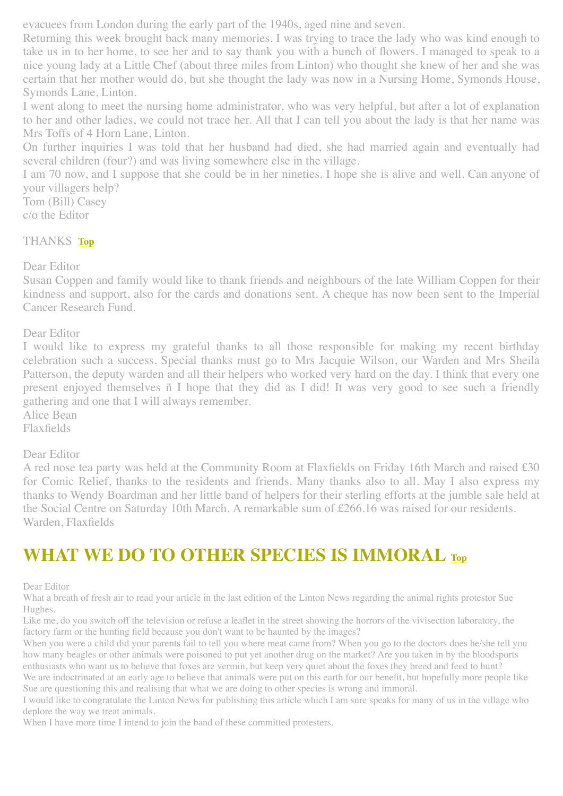evacuees from London during the early part of the 1940s, aged nine and seven.

Returning this week brought back many memories. I was trying to trace the lady who was kind enough to take us in to her home, to see her and to say thank you with a bunch of flowers. I managed to speak to a nice young lady at a Little Chef (about three miles from Linton) who thought she knew of her and she was certain that her mother would do, but she thought the lady was now in a Nursing Home, Symonds House, Symonds Lane, Linton.

I went along to meet the nursing home administrator, who was very helpful, but after a lot of explanation to her and other ladies, we could not trace her. All that I can tell you about the lady is that her name was Mrs Toffs of 4 Horn Lane, Linton.

On further inquiries I was told that her husband had died, she had married again and eventually had several children (four?) and was living somewhere else in the village.

I am 70 now, and I suppose that she could be in her nineties. I hope she is alive and well. Can anyone of your villagers help?

Tom (Bill) Casey c/o the Editor

#### <span id="page-4-0"></span>THANKS **[Top](#page-0-1)**

Dear Editor

Susan Coppen and family would like to thank friends and neighbours of the late William Coppen for their kindness and support, also for the cards and donations sent. A cheque has now been sent to the Imperial Cancer Research Fund.

Dear Editor

I would like to express my grateful thanks to all those responsible for making my recent birthday celebration such a success. Special thanks must go to Mrs Jacquie Wilson, our Warden and Mrs Sheila Patterson, the deputy warden and all their helpers who worked very hard on the day. I think that every one present enjoyed themselves ñ I hope that they did as I did! It was very good to see such a friendly gathering and one that I will always remember.

Alice Bean

Flaxfields

#### Dear Editor

A red nose tea party was held at the Community Room at Flaxfields on Friday 16th March and raised £30 for Comic Relief, thanks to the residents and friends. Many thanks also to all. May I also express my thanks to Wendy Boardman and her little band of helpers for their sterling efforts at the jumble sale held at the Social Centre on Saturday 10th March. A remarkable sum of £266.16 was raised for our residents. Warden, Flaxfields

#### <span id="page-4-1"></span>**WHAT WE DO TO OTHER SPECIES IS IMMORAL [Top](#page-0-1)**

Dear Editor

What a breath of fresh air to read your article in the last edition of the Linton News regarding the animal rights protestor Sue Hughes.

Like me, do you switch off the television or refuse a leaflet in the street showing the horrors of the vivisection laboratory, the factory farm or the hunting field because you don't want to be haunted by the images?

When you were a child did your parents fail to tell you where meat came from? When you go to the doctors does he/she tell you how many beagles or other animals were poisoned to put yet another drug on the market? Are you taken in by the bloodsports enthusiasts who want us to believe that foxes are vermin, but keep very quiet about the foxes they breed and feed to hunt? We are indoctrinated at an early age to believe that animals were put on this earth for our benefit, but hopefully more people like Sue are questioning this and realising that what we are doing to other species is wrong and immoral.

I would like to congratulate the Linton News for publishing this article which I am sure speaks for many of us in the village who deplore the way we treat animals.

When I have more time I intend to join the band of these committed protesters.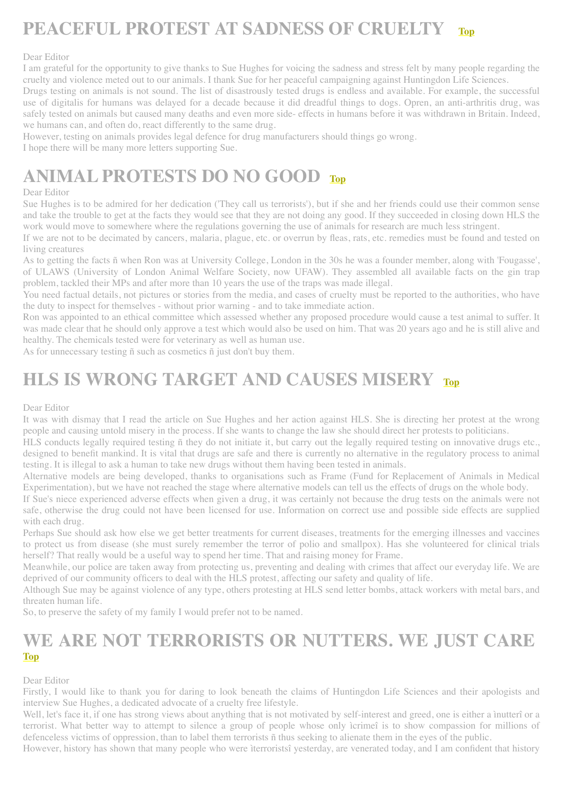## <span id="page-5-0"></span>**PEACEFUL PROTEST AT SADNESS OF CRUELTY [Top](#page-0-1)**

#### Dear Editor

I am grateful for the opportunity to give thanks to Sue Hughes for voicing the sadness and stress felt by many people regarding the cruelty and violence meted out to our animals. I thank Sue for her peaceful campaigning against Huntingdon Life Sciences.

Drugs testing on animals is not sound. The list of disastrously tested drugs is endless and available. For example, the successful use of digitalis for humans was delayed for a decade because it did dreadful things to dogs. Opren, an anti-arthritis drug, was safely tested on animals but caused many deaths and even more side- effects in humans before it was withdrawn in Britain. Indeed, we humans can, and often do, react differently to the same drug.

However, testing on animals provides legal defence for drug manufacturers should things go wrong.

I hope there will be many more letters supporting Sue.

## <span id="page-5-1"></span>**ANIMAL PROTESTS DO NO GOOD [Top](#page-0-1)**

#### Dear Editor

Sue Hughes is to be admired for her dedication ('They call us terrorists'), but if she and her friends could use their common sense and take the trouble to get at the facts they would see that they are not doing any good. If they succeeded in closing down HLS the work would move to somewhere where the regulations governing the use of animals for research are much less stringent.

If we are not to be decimated by cancers, malaria, plague, etc. or overrun by fleas, rats, etc. remedies must be found and tested on living creatures

As to getting the facts ñ when Ron was at University College, London in the 30s he was a founder member, along with 'Fougasse', of ULAWS (University of London Animal Welfare Society, now UFAW). They assembled all available facts on the gin trap problem, tackled their MPs and after more than 10 years the use of the traps was made illegal.

You need factual details, not pictures or stories from the media, and cases of cruelty must be reported to the authorities, who have the duty to inspect for themselves - without prior warning - and to take immediate action.

Ron was appointed to an ethical committee which assessed whether any proposed procedure would cause a test animal to suffer. It was made clear that he should only approve a test which would also be used on him. That was 20 years ago and he is still alive and healthy. The chemicals tested were for veterinary as well as human use.

As for unnecessary testing ñ such as cosmetics ñ just don't buy them.

### <span id="page-5-2"></span>**HLS IS WRONG TARGET AND CAUSES MISERY [Top](#page-0-1)**

#### Dear Editor

It was with dismay that I read the article on Sue Hughes and her action against HLS. She is directing her protest at the wrong people and causing untold misery in the process. If she wants to change the law she should direct her protests to politicians.

HLS conducts legally required testing ñ they do not initiate it, but carry out the legally required testing on innovative drugs etc., designed to benefit mankind. It is vital that drugs are safe and there is currently no alternative in the regulatory process to animal testing. It is illegal to ask a human to take new drugs without them having been tested in animals.

Alternative models are being developed, thanks to organisations such as Frame (Fund for Replacement of Animals in Medical Experimentation), but we have not reached the stage where alternative models can tell us the effects of drugs on the whole body.

If Sue's niece experienced adverse effects when given a drug, it was certainly not because the drug tests on the animals were not safe, otherwise the drug could not have been licensed for use. Information on correct use and possible side effects are supplied with each drug.

Perhaps Sue should ask how else we get better treatments for current diseases, treatments for the emerging illnesses and vaccines to protect us from disease (she must surely remember the terror of polio and smallpox). Has she volunteered for clinical trials herself? That really would be a useful way to spend her time. That and raising money for Frame.

Meanwhile, our police are taken away from protecting us, preventing and dealing with crimes that affect our everyday life. We are deprived of our community officers to deal with the HLS protest, affecting our safety and quality of life.

Although Sue may be against violence of any type, others protesting at HLS send letter bombs, attack workers with metal bars, and threaten human life.

So, to preserve the safety of my family I would prefer not to be named.

#### <span id="page-5-3"></span>**WE ARE NOT TERRORISTS OR NUTTERS. WE JUST CARE [Top](#page-0-1)**

#### Dear Editor

Firstly, I would like to thank you for daring to look beneath the claims of Huntingdon Life Sciences and their apologists and interview Sue Hughes, a dedicated advocate of a cruelty free lifestyle.

Well, let's face it, if one has strong views about anything that is not motivated by self-interest and greed, one is either a inutterî or a terrorist. What better way to attempt to silence a group of people whose only ìcrimeî is to show compassion for millions of defenceless victims of oppression, than to label them terrorists ñ thus seeking to alienate them in the eyes of the public.

However, history has shown that many people who were ìterroristsî yesterday, are venerated today, and I am confident that history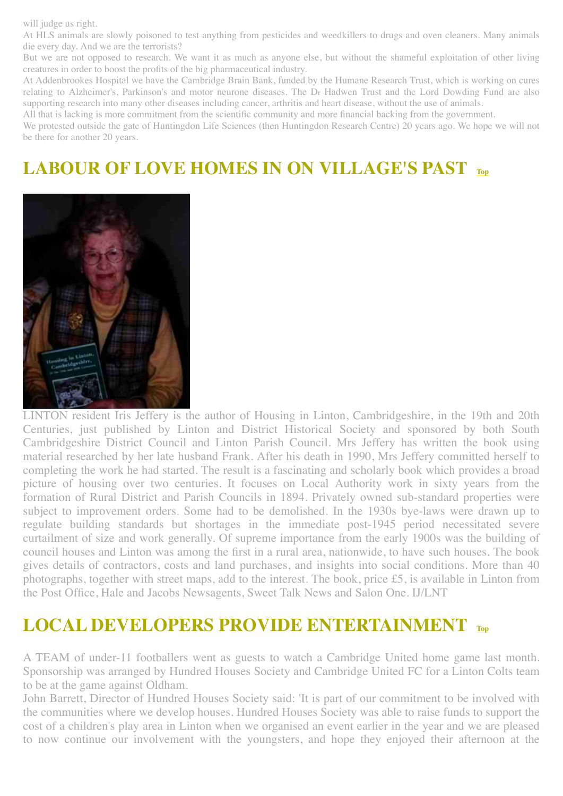will judge us right.

At HLS animals are slowly poisoned to test anything from pesticides and weedkillers to drugs and oven cleaners. Many animals die every day. And we are the terrorists?

But we are not opposed to research. We want it as much as anyone else, but without the shameful exploitation of other living creatures in order to boost the profits of the big pharmaceutical industry.

At Addenbrookes Hospital we have the Cambridge Brain Bank, funded by the Humane Research Trust, which is working on cures relating to Alzheimer's, Parkinson's and motor neurone diseases. The Dr Hadwen Trust and the Lord Dowding Fund are also supporting research into many other diseases including cancer, arthritis and heart disease, without the use of animals.

All that is lacking is more commitment from the scientific community and more financial backing from the government.

We protested outside the gate of Huntingdon Life Sciences (then Huntingdon Research Centre) 20 years ago. We hope we will not be there for another 20 years.

## <span id="page-6-0"></span>**LABOUR OF LOVE HOMES IN ON VILLAGE'S PAST [Top](#page-0-1)**



LINTON resident Iris Jeffery is the author of Housing in Linton, Cambridgeshire, in the 19th and 20th Centuries, just published by Linton and District Historical Society and sponsored by both South Cambridgeshire District Council and Linton Parish Council. Mrs Jeffery has written the book using material researched by her late husband Frank. After his death in 1990, Mrs Jeffery committed herself to completing the work he had started. The result is a fascinating and scholarly book which provides a broad picture of housing over two centuries. It focuses on Local Authority work in sixty years from the formation of Rural District and Parish Councils in 1894. Privately owned sub-standard properties were subject to improvement orders. Some had to be demolished. In the 1930s bye-laws were drawn up to regulate building standards but shortages in the immediate post-1945 period necessitated severe curtailment of size and work generally. Of supreme importance from the early 1900s was the building of council houses and Linton was among the first in a rural area, nationwide, to have such houses. The book gives details of contractors, costs and land purchases, and insights into social conditions. More than 40 photographs, together with street maps, add to the interest. The book, price £5, is available in Linton from the Post Office, Hale and Jacobs Newsagents, Sweet Talk News and Salon One. IJ/LNT

### <span id="page-6-1"></span>**LOCAL DEVELOPERS PROVIDE ENTERTAINMENT [Top](#page-0-1)**

A TEAM of under-11 footballers went as guests to watch a Cambridge United home game last month. Sponsorship was arranged by Hundred Houses Society and Cambridge United FC for a Linton Colts team to be at the game against Oldham.

John Barrett, Director of Hundred Houses Society said: 'It is part of our commitment to be involved with the communities where we develop houses. Hundred Houses Society was able to raise funds to support the cost of a children's play area in Linton when we organised an event earlier in the year and we are pleased to now continue our involvement with the youngsters, and hope they enjoyed their afternoon at the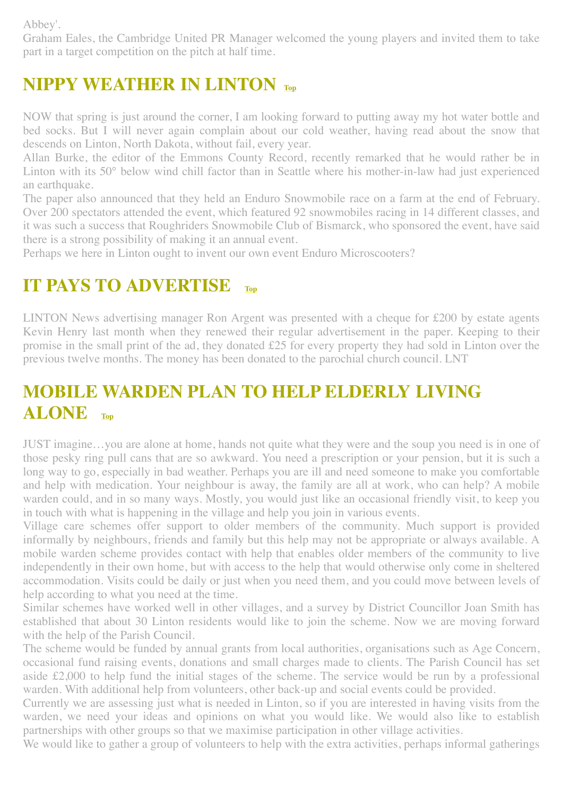Abbey'.

Graham Eales, the Cambridge United PR Manager welcomed the young players and invited them to take part in a target competition on the pitch at half time.

## <span id="page-7-0"></span>**NIPPY WEATHER IN LINTON [Top](#page-0-1)**

NOW that spring is just around the corner, I am looking forward to putting away my hot water bottle and bed socks. But I will never again complain about our cold weather, having read about the snow that descends on Linton, North Dakota, without fail, every year.

Allan Burke, the editor of the Emmons County Record, recently remarked that he would rather be in Linton with its 50° below wind chill factor than in Seattle where his mother-in-law had just experienced an earthquake.

The paper also announced that they held an Enduro Snowmobile race on a farm at the end of February. Over 200 spectators attended the event, which featured 92 snowmobiles racing in 14 different classes, and it was such a success that Roughriders Snowmobile Club of Bismarck, who sponsored the event, have said there is a strong possibility of making it an annual event.

Perhaps we here in Linton ought to invent our own event Enduro Microscooters?

### <span id="page-7-1"></span>**IT PAYS TO ADVERTISE**

LINTON News advertising manager Ron Argent was presented with a cheque for £200 by estate agents Kevin Henry last month when they renewed their regular advertisement in the paper. Keeping to their promise in the small print of the ad, they donated £25 for every property they had sold in Linton over the previous twelve months. The money has been donated to the parochial church council. LNT

## <span id="page-7-2"></span>**MOBILE WARDEN PLAN TO HELP ELDERLY LIVING ALONE [Top](#page-0-1)**

JUST imagine…you are alone at home, hands not quite what they were and the soup you need is in one of those pesky ring pull cans that are so awkward. You need a prescription or your pension, but it is such a long way to go, especially in bad weather. Perhaps you are ill and need someone to make you comfortable and help with medication. Your neighbour is away, the family are all at work, who can help? A mobile warden could, and in so many ways. Mostly, you would just like an occasional friendly visit, to keep you in touch with what is happening in the village and help you join in various events.

Village care schemes offer support to older members of the community. Much support is provided informally by neighbours, friends and family but this help may not be appropriate or always available. A mobile warden scheme provides contact with help that enables older members of the community to live independently in their own home, but with access to the help that would otherwise only come in sheltered accommodation. Visits could be daily or just when you need them, and you could move between levels of help according to what you need at the time.

Similar schemes have worked well in other villages, and a survey by District Councillor Joan Smith has established that about 30 Linton residents would like to join the scheme. Now we are moving forward with the help of the Parish Council.

The scheme would be funded by annual grants from local authorities, organisations such as Age Concern, occasional fund raising events, donations and small charges made to clients. The Parish Council has set aside £2,000 to help fund the initial stages of the scheme. The service would be run by a professional warden. With additional help from volunteers, other back-up and social events could be provided.

Currently we are assessing just what is needed in Linton, so if you are interested in having visits from the warden, we need your ideas and opinions on what you would like. We would also like to establish partnerships with other groups so that we maximise participation in other village activities.

We would like to gather a group of volunteers to help with the extra activities, perhaps informal gatherings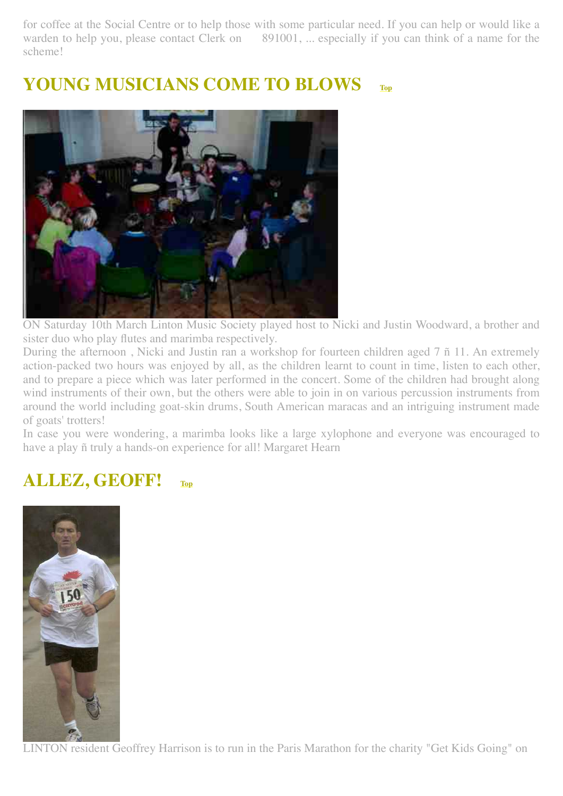for coffee at the Social Centre or to help those with some particular need. If you can help or would like a warden to help you, please contact Clerk on 891001, ... especially if you can think of a name for the scheme!

## <span id="page-8-0"></span>**YOUNG MUSICIANS COME TO BLOWS [Top](#page-0-1)**



ON Saturday 10th March Linton Music Society played host to Nicki and Justin Woodward, a brother and sister duo who play flutes and marimba respectively.

During the afternoon , Nicki and Justin ran a workshop for fourteen children aged 7 ñ 11. An extremely action-packed two hours was enjoyed by all, as the children learnt to count in time, listen to each other, and to prepare a piece which was later performed in the concert. Some of the children had brought along wind instruments of their own, but the others were able to join in on various percussion instruments from around the world including goat-skin drums, South American maracas and an intriguing instrument made of goats' trotters!

In case you were wondering, a marimba looks like a large xylophone and everyone was encouraged to have a play ñ truly a hands-on experience for all! Margaret Hearn

### <span id="page-8-1"></span>**ALLEZ, GEOFF! [Top](#page-0-1)**



LINTON resident Geoffrey Harrison is to run in the Paris Marathon for the charity "Get Kids Going" on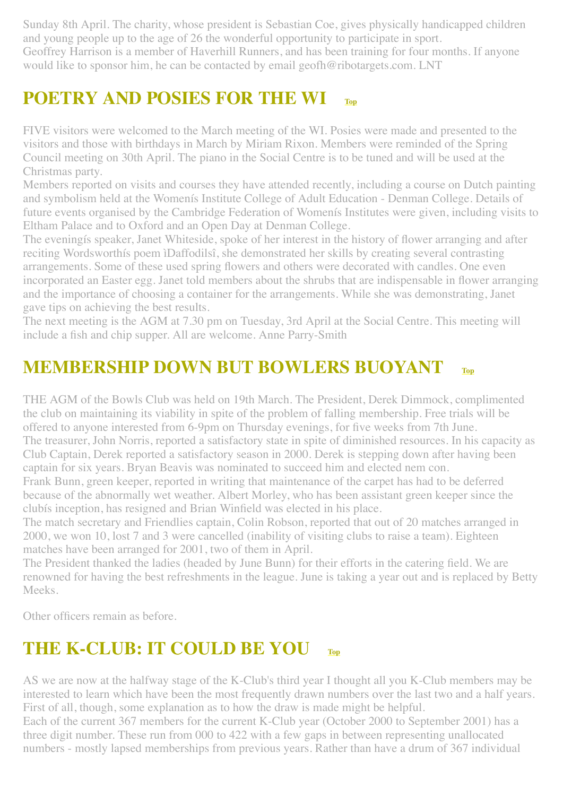Sunday 8th April. The charity, whose president is Sebastian Coe, gives physically handicapped children and young people up to the age of 26 the wonderful opportunity to participate in sport. Geoffrey Harrison is a member of Haverhill Runners, and has been training for four months. If anyone would like to sponsor him, he can be contacted by email geofh@ribotargets.com. LNT

## <span id="page-9-0"></span>**POETRY AND POSIES FOR THE WI**

FIVE visitors were welcomed to the March meeting of the WI. Posies were made and presented to the visitors and those with birthdays in March by Miriam Rixon. Members were reminded of the Spring Council meeting on 30th April. The piano in the Social Centre is to be tuned and will be used at the Christmas party.

Members reported on visits and courses they have attended recently, including a course on Dutch painting and symbolism held at the Womenís Institute College of Adult Education - Denman College. Details of future events organised by the Cambridge Federation of Womenís Institutes were given, including visits to Eltham Palace and to Oxford and an Open Day at Denman College.

The eveningís speaker, Janet Whiteside, spoke of her interest in the history of flower arranging and after reciting Wordsworthís poem ìDaffodilsî, she demonstrated her skills by creating several contrasting arrangements. Some of these used spring flowers and others were decorated with candles. One even incorporated an Easter egg. Janet told members about the shrubs that are indispensable in flower arranging and the importance of choosing a container for the arrangements. While she was demonstrating, Janet gave tips on achieving the best results.

The next meeting is the AGM at 7.30 pm on Tuesday, 3rd April at the Social Centre. This meeting will include a fish and chip supper. All are welcome. Anne Parry-Smith

### <span id="page-9-1"></span>**MEMBERSHIP DOWN BUT BOWLERS BUOYANT [Top](#page-0-1)**

THE AGM of the Bowls Club was held on 19th March. The President, Derek Dimmock, complimented the club on maintaining its viability in spite of the problem of falling membership. Free trials will be offered to anyone interested from 6-9pm on Thursday evenings, for five weeks from 7th June. The treasurer, John Norris, reported a satisfactory state in spite of diminished resources. In his capacity as Club Captain, Derek reported a satisfactory season in 2000. Derek is stepping down after having been captain for six years. Bryan Beavis was nominated to succeed him and elected nem con.

Frank Bunn, green keeper, reported in writing that maintenance of the carpet has had to be deferred because of the abnormally wet weather. Albert Morley, who has been assistant green keeper since the clubís inception, has resigned and Brian Winfield was elected in his place.

The match secretary and Friendlies captain, Colin Robson, reported that out of 20 matches arranged in 2000, we won 10, lost 7 and 3 were cancelled (inability of visiting clubs to raise a team). Eighteen matches have been arranged for 2001, two of them in April.

The President thanked the ladies (headed by June Bunn) for their efforts in the catering field. We are renowned for having the best refreshments in the league. June is taking a year out and is replaced by Betty **Meeks** 

Other officers remain as before.

## <span id="page-9-2"></span>**THE K-CLUB: IT COULD BE YOU [Top](#page-0-1)**

AS we are now at the halfway stage of the K-Club's third year I thought all you K-Club members may be interested to learn which have been the most frequently drawn numbers over the last two and a half years. First of all, though, some explanation as to how the draw is made might be helpful.

Each of the current 367 members for the current K-Club year (October 2000 to September 2001) has a three digit number. These run from 000 to 422 with a few gaps in between representing unallocated numbers - mostly lapsed memberships from previous years. Rather than have a drum of 367 individual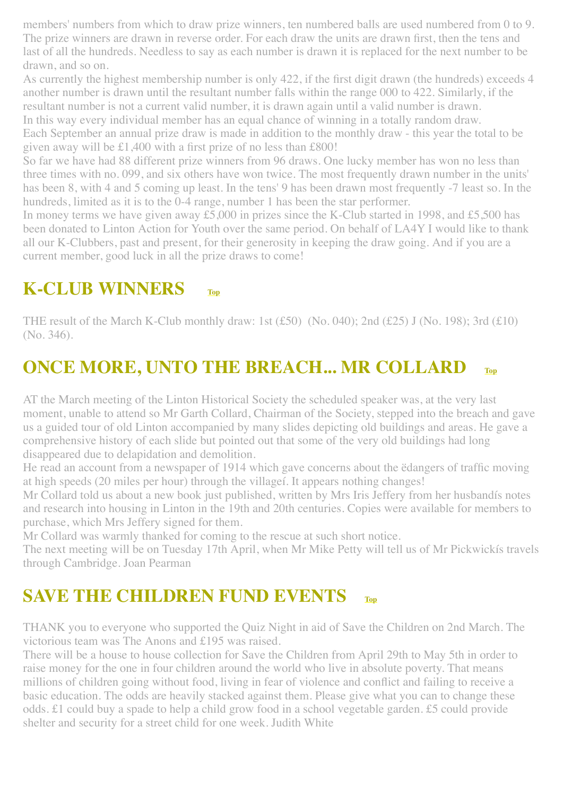members' numbers from which to draw prize winners, ten numbered balls are used numbered from 0 to 9. The prize winners are drawn in reverse order. For each draw the units are drawn first, then the tens and last of all the hundreds. Needless to say as each number is drawn it is replaced for the next number to be drawn, and so on.

As currently the highest membership number is only 422, if the first digit drawn (the hundreds) exceeds 4 another number is drawn until the resultant number falls within the range 000 to 422. Similarly, if the resultant number is not a current valid number, it is drawn again until a valid number is drawn.

In this way every individual member has an equal chance of winning in a totally random draw. Each September an annual prize draw is made in addition to the monthly draw - this year the total to be given away will be £1,400 with a first prize of no less than £800!

So far we have had 88 different prize winners from 96 draws. One lucky member has won no less than three times with no. 099, and six others have won twice. The most frequently drawn number in the units' has been 8, with 4 and 5 coming up least. In the tens' 9 has been drawn most frequently -7 least so. In the hundreds, limited as it is to the 0-4 range, number 1 has been the star performer.

In money terms we have given away £5,000 in prizes since the K-Club started in 1998, and £5,500 has been donated to Linton Action for Youth over the same period. On behalf of LA4Y I would like to thank all our K-Clubbers, past and present, for their generosity in keeping the draw going. And if you are a current member, good luck in all the prize draws to come!

### <span id="page-10-0"></span>**K-CLUB WINNERS [Top](#page-0-1)**

THE result of the March K-Club monthly draw: 1st  $(f50)$  (No. 040); 2nd  $(f25)$  J (No. 198); 3rd  $(f10)$ (No. 346).

## <span id="page-10-1"></span>**ONCE MORE, UNTO THE BREACH... MR COLLARD [Top](#page-0-1)**

AT the March meeting of the Linton Historical Society the scheduled speaker was, at the very last moment, unable to attend so Mr Garth Collard, Chairman of the Society, stepped into the breach and gave us a guided tour of old Linton accompanied by many slides depicting old buildings and areas. He gave a comprehensive history of each slide but pointed out that some of the very old buildings had long disappeared due to delapidation and demolition.

He read an account from a newspaper of 1914 which gave concerns about the ëdangers of traffic moving at high speeds (20 miles per hour) through the villageí. It appears nothing changes!

Mr Collard told us about a new book just published, written by Mrs Iris Jeffery from her husbandís notes and research into housing in Linton in the 19th and 20th centuries. Copies were available for members to purchase, which Mrs Jeffery signed for them.

Mr Collard was warmly thanked for coming to the rescue at such short notice.

The next meeting will be on Tuesday 17th April, when Mr Mike Petty will tell us of Mr Pickwickís travels through Cambridge. Joan Pearman

## <span id="page-10-2"></span>**SAVE THE CHILDREN FUND EVENTS** [Top](#page-0-1)

THANK you to everyone who supported the Quiz Night in aid of Save the Children on 2nd March. The victorious team was The Anons and £195 was raised.

There will be a house to house collection for Save the Children from April 29th to May 5th in order to raise money for the one in four children around the world who live in absolute poverty. That means millions of children going without food, living in fear of violence and conflict and failing to receive a basic education. The odds are heavily stacked against them. Please give what you can to change these odds. £1 could buy a spade to help a child grow food in a school vegetable garden. £5 could provide shelter and security for a street child for one week. Judith White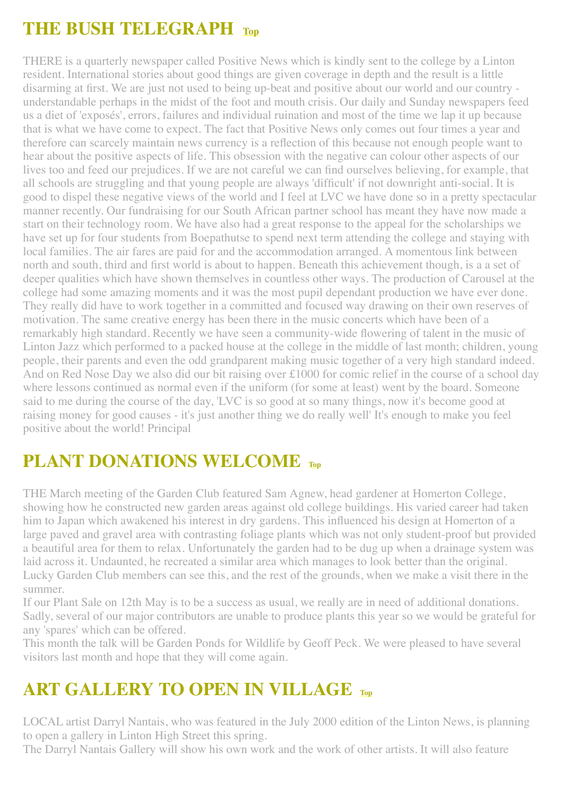## <span id="page-11-0"></span>**THE BUSH TELEGRAPH [Top](#page-0-1)**

THERE is a quarterly newspaper called Positive News which is kindly sent to the college by a Linton resident. International stories about good things are given coverage in depth and the result is a little disarming at first. We are just not used to being up-beat and positive about our world and our country understandable perhaps in the midst of the foot and mouth crisis. Our daily and Sunday newspapers feed us a diet of 'exposés', errors, failures and individual ruination and most of the time we lap it up because that is what we have come to expect. The fact that Positive News only comes out four times a year and therefore can scarcely maintain news currency is a reflection of this because not enough people want to hear about the positive aspects of life. This obsession with the negative can colour other aspects of our lives too and feed our prejudices. If we are not careful we can find ourselves believing, for example, that all schools are struggling and that young people are always 'difficult' if not downright anti-social. It is good to dispel these negative views of the world and I feel at LVC we have done so in a pretty spectacular manner recently. Our fundraising for our South African partner school has meant they have now made a start on their technology room. We have also had a great response to the appeal for the scholarships we have set up for four students from Boepathutse to spend next term attending the college and staying with local families. The air fares are paid for and the accommodation arranged. A momentous link between north and south, third and first world is about to happen. Beneath this achievement though, is a a set of deeper qualities which have shown themselves in countless other ways. The production of Carousel at the college had some amazing moments and it was the most pupil dependant production we have ever done. They really did have to work together in a committed and focused way drawing on their own reserves of motivation. The same creative energy has been there in the music concerts which have been of a remarkably high standard. Recently we have seen a community-wide flowering of talent in the music of Linton Jazz which performed to a packed house at the college in the middle of last month; children, young people, their parents and even the odd grandparent making music together of a very high standard indeed. And on Red Nose Day we also did our bit raising over £1000 for comic relief in the course of a school day where lessons continued as normal even if the uniform (for some at least) went by the board. Someone said to me during the course of the day, 'LVC is so good at so many things, now it's become good at raising money for good causes - it's just another thing we do really well' It's enough to make you feel positive about the world! Principal

# <span id="page-11-1"></span>**PLANT DONATIONS WELCOME [Top](#page-0-1)**

THE March meeting of the Garden Club featured Sam Agnew, head gardener at Homerton College, showing how he constructed new garden areas against old college buildings. His varied career had taken him to Japan which awakened his interest in dry gardens. This influenced his design at Homerton of a large paved and gravel area with contrasting foliage plants which was not only student-proof but provided a beautiful area for them to relax. Unfortunately the garden had to be dug up when a drainage system was laid across it. Undaunted, he recreated a similar area which manages to look better than the original. Lucky Garden Club members can see this, and the rest of the grounds, when we make a visit there in the summer.

If our Plant Sale on 12th May is to be a success as usual, we really are in need of additional donations. Sadly, several of our major contributors are unable to produce plants this year so we would be grateful for any 'spares' which can be offered.

This month the talk will be Garden Ponds for Wildlife by Geoff Peck. We were pleased to have several visitors last month and hope that they will come again.

## <span id="page-11-2"></span>**ART GALLERY TO OPEN IN VILLAGE [Top](#page-0-1)**

LOCAL artist Darryl Nantais, who was featured in the July 2000 edition of the Linton News, is planning to open a gallery in Linton High Street this spring.

The Darryl Nantais Gallery will show his own work and the work of other artists. It will also feature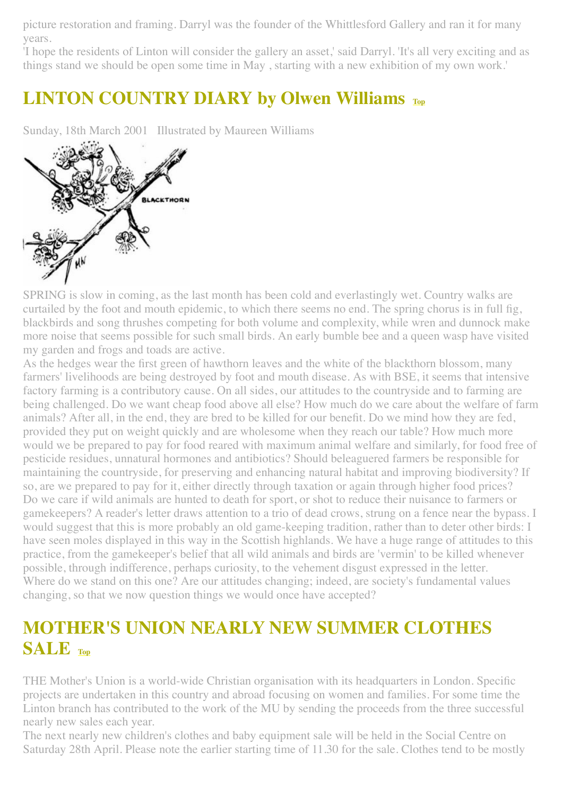picture restoration and framing. Darryl was the founder of the Whittlesford Gallery and ran it for many years.

'I hope the residents of Linton will consider the gallery an asset,' said Darryl. 'It's all very exciting and as things stand we should be open some time in May , starting with a new exhibition of my own work.'

## <span id="page-12-0"></span>**LINTON COUNTRY DIARY by Olwen Williams [Top](#page-0-1)**

Sunday, 18th March 2001 Illustrated by Maureen Williams



SPRING is slow in coming, as the last month has been cold and everlastingly wet. Country walks are curtailed by the foot and mouth epidemic, to which there seems no end. The spring chorus is in full fig, blackbirds and song thrushes competing for both volume and complexity, while wren and dunnock make more noise that seems possible for such small birds. An early bumble bee and a queen wasp have visited my garden and frogs and toads are active.

As the hedges wear the first green of hawthorn leaves and the white of the blackthorn blossom, many farmers' livelihoods are being destroyed by foot and mouth disease. As with BSE, it seems that intensive factory farming is a contributory cause. On all sides, our attitudes to the countryside and to farming are being challenged. Do we want cheap food above all else? How much do we care about the welfare of farm animals? After all, in the end, they are bred to be killed for our benefit. Do we mind how they are fed, provided they put on weight quickly and are wholesome when they reach our table? How much more would we be prepared to pay for food reared with maximum animal welfare and similarly, for food free of pesticide residues, unnatural hormones and antibiotics? Should beleaguered farmers be responsible for maintaining the countryside, for preserving and enhancing natural habitat and improving biodiversity? If so, are we prepared to pay for it, either directly through taxation or again through higher food prices? Do we care if wild animals are hunted to death for sport, or shot to reduce their nuisance to farmers or gamekeepers? A reader's letter draws attention to a trio of dead crows, strung on a fence near the bypass. I would suggest that this is more probably an old game-keeping tradition, rather than to deter other birds: I have seen moles displayed in this way in the Scottish highlands. We have a huge range of attitudes to this practice, from the gamekeeper's belief that all wild animals and birds are 'vermin' to be killed whenever possible, through indifference, perhaps curiosity, to the vehement disgust expressed in the letter. Where do we stand on this one? Are our attitudes changing; indeed, are society's fundamental values changing, so that we now question things we would once have accepted?

## <span id="page-12-1"></span>**MOTHER'S UNION NEARLY NEW SUMMER CLOTHES SALE [Top](#page-0-1)**

THE Mother's Union is a world-wide Christian organisation with its headquarters in London. Specific projects are undertaken in this country and abroad focusing on women and families. For some time the Linton branch has contributed to the work of the MU by sending the proceeds from the three successful nearly new sales each year.

The next nearly new children's clothes and baby equipment sale will be held in the Social Centre on Saturday 28th April. Please note the earlier starting time of 11.30 for the sale. Clothes tend to be mostly